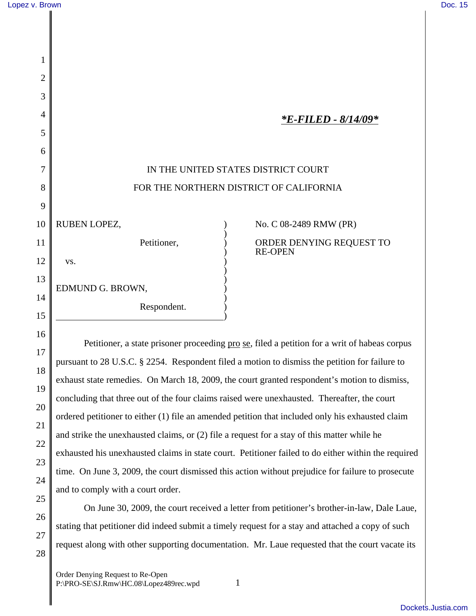16

17

18

19

20

21

22

23

24

25

26

27

28

| 1              |                                         |                                            |
|----------------|-----------------------------------------|--------------------------------------------|
| $\overline{2}$ |                                         |                                            |
| 3              |                                         |                                            |
| 4              |                                         | *E-FILED - 8/14/09*                        |
| 5              |                                         |                                            |
| 6              |                                         |                                            |
| 7              | IN THE UNITED STATES DISTRICT COURT     |                                            |
| 8              | FOR THE NORTHERN DISTRICT OF CALIFORNIA |                                            |
| 9              |                                         |                                            |
| 10             | RUBEN LOPEZ,                            | No. C 08-2489 RMW (PR)                     |
| 11             | Petitioner,                             | ORDER DENYING REQUEST TO<br><b>RE-OPEN</b> |
| 12             | VS.                                     |                                            |
| 13             |                                         |                                            |
| 14             | EDMUND G. BROWN,                        |                                            |
| 15             | Respondent.                             |                                            |

Petitioner, a state prisoner proceeding <u>pro se</u>, filed a petition for a writ of habeas corpus pursuant to 28 U.S.C. § 2254. Respondent filed a motion to dismiss the petition for failure to exhaust state remedies. On March 18, 2009, the court granted respondent's motion to dismiss, concluding that three out of the four claims raised were unexhausted. Thereafter, the court ordered petitioner to either (1) file an amended petition that included only his exhausted claim and strike the unexhausted claims, or (2) file a request for a stay of this matter while he exhausted his unexhausted claims in state court. Petitioner failed to do either within the required time. On June 3, 2009, the court dismissed this action without prejudice for failure to prosecute and to comply with a court order.

On June 30, 2009, the court received a letter from petitioner's brother-in-law, Dale Laue, stating that petitioner did indeed submit a timely request for a stay and attached a copy of such request along with other supporting documentation. Mr. Laue requested that the court vacate its